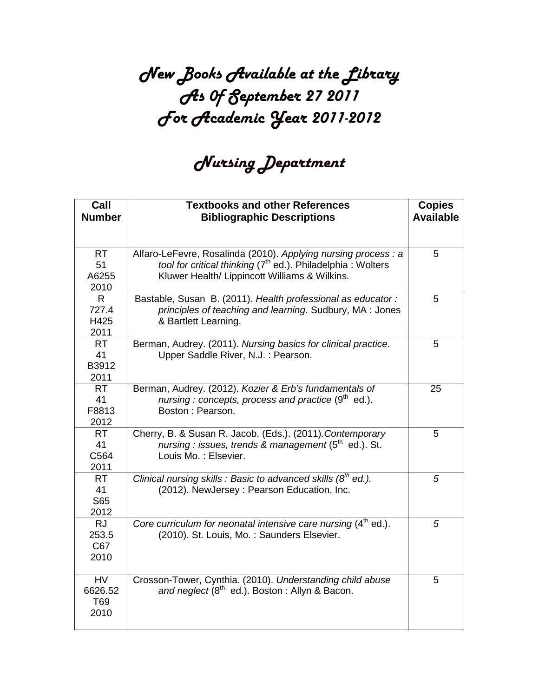### New Books Available at the Library As 0f September 27 2011 For Academic Year 2011-2012

### Nursing Department

| Call<br><b>Number</b>                 | <b>Textbooks and other References</b><br><b>Bibliographic Descriptions</b>                                                                                                                 | <b>Copies</b><br><b>Available</b> |
|---------------------------------------|--------------------------------------------------------------------------------------------------------------------------------------------------------------------------------------------|-----------------------------------|
|                                       |                                                                                                                                                                                            |                                   |
| <b>RT</b><br>51<br>A6255<br>2010      | Alfaro-LeFevre, Rosalinda (2010). Applying nursing process : a<br>tool for critical thinking (7 <sup>th</sup> ed.). Philadelphia: Wolters<br>Kluwer Health/ Lippincott Williams & Wilkins. | 5                                 |
| $\mathsf{R}$<br>727.4<br>H425<br>2011 | Bastable, Susan B. (2011). Health professional as educator:<br>principles of teaching and learning. Sudbury, MA : Jones<br>& Bartlett Learning.                                            | 5                                 |
| <b>RT</b><br>41<br>B3912<br>2011      | Berman, Audrey. (2011). Nursing basics for clinical practice.<br>Upper Saddle River, N.J.: Pearson.                                                                                        | 5                                 |
| <b>RT</b><br>41<br>F8813<br>2012      | Berman, Audrey. (2012). Kozier & Erb's fundamentals of<br>nursing : concepts, process and practice $(9th$ ed.).<br>Boston: Pearson.                                                        | 25                                |
| <b>RT</b><br>41<br>C564<br>2011       | Cherry, B. & Susan R. Jacob. (Eds.). (2011). Contemporary<br>nursing : issues, trends & management $(5th$ ed.). St.<br>Louis Mo.: Elsevier.                                                | 5                                 |
| <b>RT</b><br>41<br>S65<br>2012        | Clinical nursing skills : Basic to advanced skills $(8^{th}$ ed.).<br>(2012). NewJersey: Pearson Education, Inc.                                                                           | 5                                 |
| <b>RJ</b><br>253.5<br>C67<br>2010     | Core curriculum for neonatal intensive care nursing $(4th$ ed.).<br>(2010). St. Louis, Mo.: Saunders Elsevier.                                                                             | 5                                 |
| <b>HV</b><br>6626.52<br>T69<br>2010   | Crosson-Tower, Cynthia. (2010). Understanding child abuse<br>and neglect (8 <sup>th</sup> ed.). Boston: Allyn & Bacon.                                                                     | 5                                 |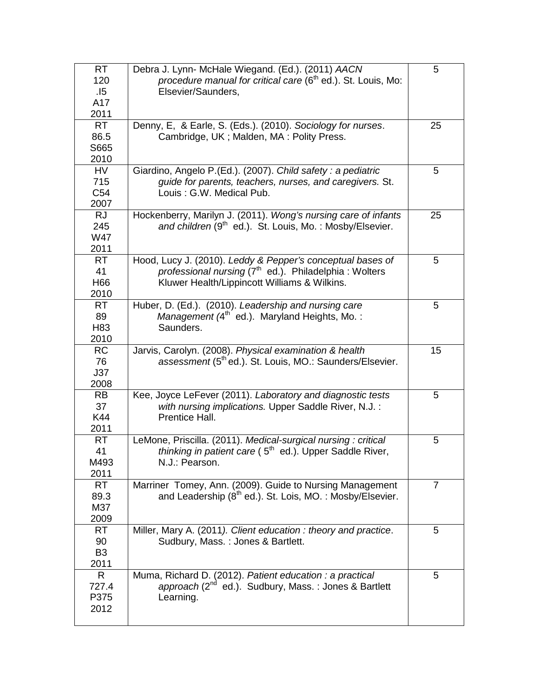| <b>RT</b><br>120<br>.15<br>A17<br>2011      | Debra J. Lynn- McHale Wiegand. (Ed.). (2011) AACN<br>procedure manual for critical care $(6th$ ed.). St. Louis, Mo:<br>Elsevier/Saunders,                                       | 5              |
|---------------------------------------------|---------------------------------------------------------------------------------------------------------------------------------------------------------------------------------|----------------|
| <b>RT</b><br>86.5<br>S665<br>2010           | Denny, E, & Earle, S. (Eds.). (2010). Sociology for nurses.<br>Cambridge, UK; Malden, MA: Polity Press.                                                                         | 25             |
| <b>HV</b><br>715<br>C <sub>54</sub><br>2007 | Giardino, Angelo P.(Ed.). (2007). Child safety: a pediatric<br>guide for parents, teachers, nurses, and caregivers. St.<br>Louis: G.W. Medical Pub.                             | 5              |
| <b>RJ</b><br>245<br><b>W47</b><br>2011      | Hockenberry, Marilyn J. (2011). Wong's nursing care of infants<br>and children (9 <sup>th</sup> ed.). St. Louis, Mo.: Mosby/Elsevier.                                           | 25             |
| <b>RT</b><br>41<br>H66<br>2010              | Hood, Lucy J. (2010). Leddy & Pepper's conceptual bases of<br>professional nursing (7 <sup>th</sup> ed.). Philadelphia: Wolters<br>Kluwer Health/Lippincott Williams & Wilkins. | 5              |
| <b>RT</b><br>89<br>H83<br>2010              | Huber, D. (Ed.). (2010). Leadership and nursing care<br>Management (4 <sup>th</sup> ed.). Maryland Heights, Mo.:<br>Saunders.                                                   | 5              |
| <b>RC</b><br>76<br>J37<br>2008              | Jarvis, Carolyn. (2008). Physical examination & health<br>assessment (5 <sup>th</sup> ed.). St. Louis, MO.: Saunders/Elsevier.                                                  | 15             |
| <b>RB</b><br>37<br>K44<br>2011              | Kee, Joyce LeFever (2011). Laboratory and diagnostic tests<br>with nursing implications. Upper Saddle River, N.J. :<br>Prentice Hall.                                           | 5              |
| <b>RT</b><br>41<br>M493<br>2011             | LeMone, Priscilla. (2011). Medical-surgical nursing: critical<br><i>thinking in patient care</i> (5 <sup>th</sup> ed.). Upper Saddle River,<br>N.J.: Pearson.                   | 5              |
| <b>RT</b><br>89.3<br>M37<br>2009            | Marriner Tomey, Ann. (2009). Guide to Nursing Management<br>and Leadership (8 <sup>th</sup> ed.). St. Lois, MO.: Mosby/Elsevier.                                                | $\overline{7}$ |
| RT.<br>90<br>B <sub>3</sub><br>2011         | Miller, Mary A. (2011). Client education: theory and practice.<br>Sudbury, Mass.: Jones & Bartlett.                                                                             | 5              |
| R<br>727.4<br>P375<br>2012                  | Muma, Richard D. (2012). Patient education : a practical<br>approach (2 <sup>nd</sup> ed.). Sudbury, Mass.: Jones & Bartlett<br>Learning.                                       | 5              |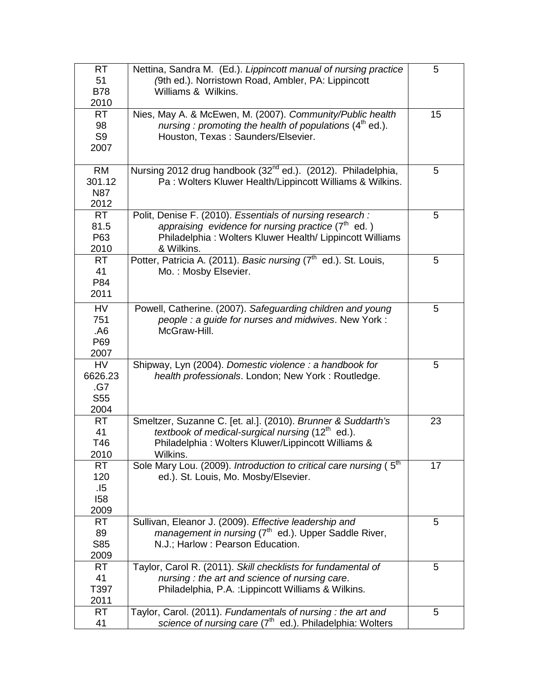| <b>RT</b><br>51<br><b>B78</b><br>2010                  | Nettina, Sandra M. (Ed.). Lippincott manual of nursing practice<br>(9th ed.). Norristown Road, Ambler, PA: Lippincott<br>Williams & Wilkins.                                                   | 5              |
|--------------------------------------------------------|------------------------------------------------------------------------------------------------------------------------------------------------------------------------------------------------|----------------|
| <b>RT</b><br>98<br>S <sub>9</sub><br>2007              | Nies, May A. & McEwen, M. (2007). Community/Public health<br>nursing: promoting the health of populations $(4th$ ed.).<br>Houston, Texas: Saunders/Elsevier.                                   | 15             |
| <b>RM</b><br>301.12<br><b>N87</b><br>2012              | Nursing 2012 drug handbook (32 <sup>nd</sup> ed.). (2012). Philadelphia,<br>Pa: Wolters Kluwer Health/Lippincott Williams & Wilkins.                                                           | 5              |
| <b>RT</b><br>81.5<br>P63<br>2010                       | Polit, Denise F. (2010). Essentials of nursing research :<br>appraising evidence for nursing practice $(7th$ ed.)<br>Philadelphia: Wolters Kluwer Health/ Lippincott Williams<br>& Wilkins.    | 5              |
| <b>RT</b><br>41<br>P84<br>2011                         | Potter, Patricia A. (2011). Basic nursing (7 <sup>th</sup> ed.). St. Louis,<br>Mo.: Mosby Elsevier.                                                                                            | 5 <sup>5</sup> |
| <b>HV</b><br>751<br>.A6<br>P69<br>2007                 | Powell, Catherine. (2007). Safeguarding children and young<br>people : a guide for nurses and midwives. New York :<br>McGraw-Hill.                                                             | 5              |
| <b>HV</b><br>6626.23<br>.G7<br>S <sub>55</sub><br>2004 | Shipway, Lyn (2004). Domestic violence : a handbook for<br>health professionals. London; New York: Routledge.                                                                                  | 5              |
| <b>RT</b><br>41<br>T46<br>2010                         | Smeltzer, Suzanne C. [et. al.]. (2010). Brunner & Suddarth's<br>textbook of medical-surgical nursing (12 <sup>th</sup> ed.).<br>Philadelphia: Wolters Kluwer/Lippincott Williams &<br>Wilkins. | 23             |
| <b>RT</b><br>120<br>.15<br>158<br>2009                 | Sole Mary Lou. (2009). Introduction to critical care nursing ( $5th$<br>ed.). St. Louis, Mo. Mosby/Elsevier.                                                                                   | 17             |
| RT.<br>89<br>S85<br>2009                               | Sullivan, Eleanor J. (2009). Effective leadership and<br>management in nursing (7 <sup>th</sup> ed.). Upper Saddle River,<br>N.J.; Harlow : Pearson Education.                                 | 5              |
| RT.<br>41<br>T397<br>2011                              | Taylor, Carol R. (2011). Skill checklists for fundamental of<br>nursing: the art and science of nursing care.<br>Philadelphia, P.A. : Lippincott Williams & Wilkins.                           | 5              |
| <b>RT</b><br>41                                        | Taylor, Carol. (2011). Fundamentals of nursing: the art and<br>science of nursing care (7 <sup>th</sup> ed.). Philadelphia: Wolters                                                            | 5              |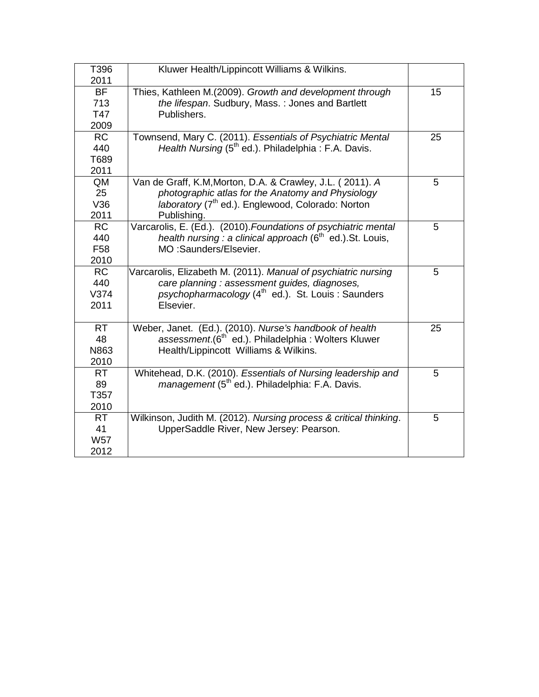| T396<br>2011                                | Kluwer Health/Lippincott Williams & Wilkins.                                                                                                                                                   |    |
|---------------------------------------------|------------------------------------------------------------------------------------------------------------------------------------------------------------------------------------------------|----|
| <b>BF</b><br>713<br>T47<br>2009             | Thies, Kathleen M.(2009). Growth and development through<br>the lifespan. Sudbury, Mass.: Jones and Bartlett<br>Publishers.                                                                    | 15 |
| <b>RC</b><br>440<br>T689<br>2011            | Townsend, Mary C. (2011). Essentials of Psychiatric Mental<br>Health Nursing $(5th$ ed.). Philadelphia : F.A. Davis.                                                                           | 25 |
| QM<br>25<br>V36<br>2011                     | Van de Graff, K.M, Morton, D.A. & Crawley, J.L. (2011). A<br>photographic atlas for the Anatomy and Physiology<br>laboratory (7 <sup>th</sup> ed.). Englewood, Colorado: Norton<br>Publishing. | 5  |
| <b>RC</b><br>440<br>F <sub>58</sub><br>2010 | Varcarolis, E. (Ed.). (2010). Foundations of psychiatric mental<br>health nursing : a clinical approach ( $6th$ ed.). St. Louis,<br>MO:Saunders/Elsevier.                                      | 5  |
| <b>RC</b><br>440<br>V374<br>2011            | Varcarolis, Elizabeth M. (2011). Manual of psychiatric nursing<br>care planning : assessment guides, diagnoses,<br>psychopharmacology (4 <sup>th</sup> ed.). St. Louis: Saunders<br>Elsevier.  | 5  |
| <b>RT</b><br>48<br>N863<br>2010             | Weber, Janet. (Ed.). (2010). Nurse's handbook of health<br>assessment.(6 <sup>th</sup> ed.). Philadelphia : Wolters Kluwer<br>Health/Lippincott Williams & Wilkins.                            | 25 |
| <b>RT</b><br>89<br>T357<br>2010             | Whitehead, D.K. (2010). Essentials of Nursing leadership and<br>management (5 <sup>th</sup> ed.). Philadelphia: F.A. Davis.                                                                    | 5  |
| <b>RT</b><br>41<br><b>W57</b><br>2012       | Wilkinson, Judith M. (2012). Nursing process & critical thinking.<br>UpperSaddle River, New Jersey: Pearson.                                                                                   | 5  |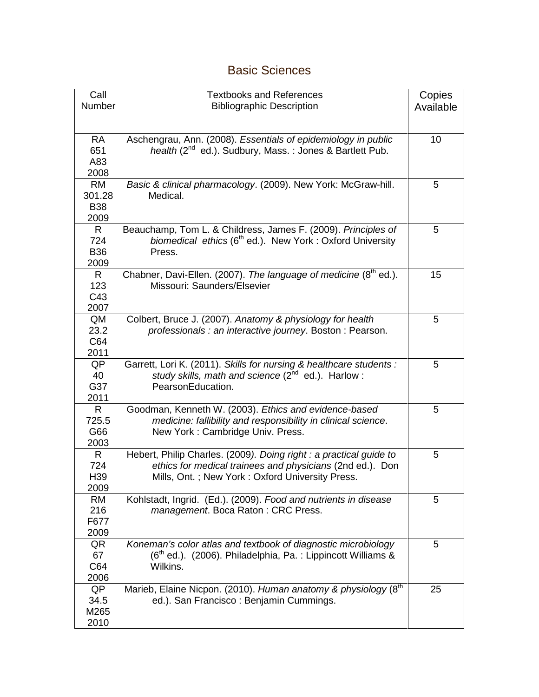### Basic Sciences

| Call            | <b>Textbooks and References</b>                                      | Copies          |
|-----------------|----------------------------------------------------------------------|-----------------|
| Number          | <b>Bibliographic Description</b>                                     | Available       |
|                 |                                                                      |                 |
|                 |                                                                      |                 |
| <b>RA</b>       | Aschengrau, Ann. (2008). Essentials of epidemiology in public        | 10 <sup>1</sup> |
| 651             | health (2 <sup>nd</sup> ed.). Sudbury, Mass.: Jones & Bartlett Pub.  |                 |
| A83             |                                                                      |                 |
| 2008            |                                                                      |                 |
| <b>RM</b>       | Basic & clinical pharmacology. (2009). New York: McGraw-hill.        | 5               |
| 301.28          | Medical.                                                             |                 |
| <b>B38</b>      |                                                                      |                 |
| 2009            |                                                                      |                 |
| R               | Beauchamp, Tom L. & Childress, James F. (2009). Principles of        | 5               |
| 724             | biomedical ethics (6 <sup>th</sup> ed.). New York: Oxford University |                 |
| <b>B36</b>      | Press.                                                               |                 |
| 2009            |                                                                      |                 |
| R               | Chabner, Davi-Ellen. (2007). The language of medicine ( $8th$ ed.).  | 15              |
| 123             | Missouri: Saunders/Elsevier                                          |                 |
| C43             |                                                                      |                 |
| 2007            |                                                                      |                 |
| QM              | Colbert, Bruce J. (2007). Anatomy & physiology for health            | 5               |
| 23.2            | professionals : an interactive journey. Boston : Pearson.            |                 |
| C64             |                                                                      |                 |
| 2011            |                                                                      |                 |
| QP              | Garrett, Lori K. (2011). Skills for nursing & healthcare students :  | 5               |
| 40              | study skills, math and science (2nd ed.). Harlow:                    |                 |
| G37             | PearsonEducation.                                                    |                 |
| 2011            |                                                                      |                 |
| R.              | Goodman, Kenneth W. (2003). Ethics and evidence-based                | 5               |
| 725.5           | medicine: fallibility and responsibility in clinical science.        |                 |
| G66             | New York: Cambridge Univ. Press.                                     |                 |
| 2003            |                                                                      |                 |
| $\mathsf{R}$    | Hebert, Philip Charles. (2009). Doing right: a practical guide to    | 5               |
| 724             | ethics for medical trainees and physicians (2nd ed.). Don            |                 |
| H <sub>39</sub> | Mills, Ont.; New York: Oxford University Press.                      |                 |
| 2009            |                                                                      |                 |
| <b>RM</b>       | Kohlstadt, Ingrid. (Ed.). (2009). Food and nutrients in disease      | 5               |
| 216             | management. Boca Raton: CRC Press.                                   |                 |
| F677            |                                                                      |                 |
| 2009            |                                                                      |                 |
| QR              | Koneman's color atlas and textbook of diagnostic microbiology        | 5               |
| 67              | $(6th$ ed.). (2006). Philadelphia, Pa. : Lippincott Williams &       |                 |
| C64             | Wilkins.                                                             |                 |
| 2006            |                                                                      |                 |
| QP              | Marieb, Elaine Nicpon. (2010). Human anatomy & physiology (8th       | 25              |
| 34.5            | ed.). San Francisco: Benjamin Cummings.                              |                 |
| M265            |                                                                      |                 |
| 2010            |                                                                      |                 |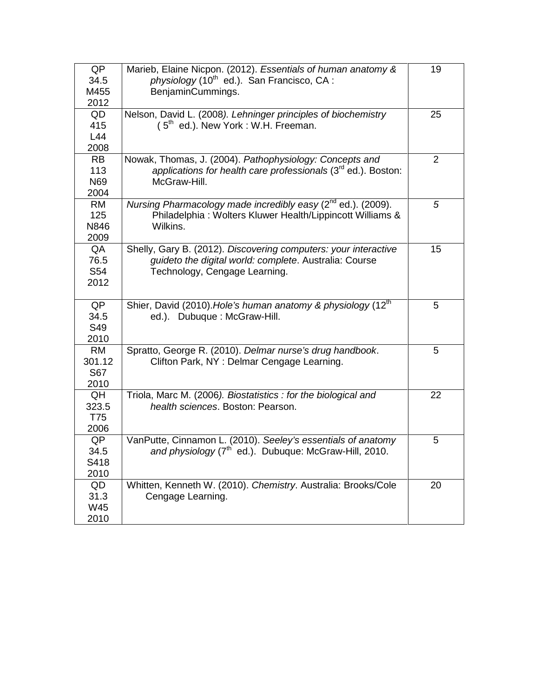| QP        | Marieb, Elaine Nicpon. (2012). Essentials of human anatomy &             | 19             |
|-----------|--------------------------------------------------------------------------|----------------|
| 34.5      | physiology (10 <sup>th</sup> ed.). San Francisco, CA :                   |                |
| M455      | BenjaminCummings.                                                        |                |
| 2012      |                                                                          |                |
| QD        | Nelson, David L. (2008). Lehninger principles of biochemistry            | 25             |
| 415       | $(5th$ ed.). New York : W.H. Freeman.                                    |                |
| L44       |                                                                          |                |
| 2008      |                                                                          |                |
| <b>RB</b> | Nowak, Thomas, J. (2004). Pathophysiology: Concepts and                  | $\overline{2}$ |
| 113       | applications for health care professionals $(3rd$ ed.). Boston:          |                |
| N69       | McGraw-Hill.                                                             |                |
| 2004      |                                                                          |                |
| <b>RM</b> | Nursing Pharmacology made incredibly easy (2 <sup>nd</sup> ed.). (2009). | 5              |
| 125       | Philadelphia: Wolters Kluwer Health/Lippincott Williams &                |                |
| N846      | Wilkins.                                                                 |                |
| 2009      |                                                                          |                |
| QA        | Shelly, Gary B. (2012). Discovering computers: your interactive          | 15             |
| 76.5      | guideto the digital world: complete. Australia: Course                   |                |
| S54       | Technology, Cengage Learning.                                            |                |
| 2012      |                                                                          |                |
|           |                                                                          |                |
| QP        | Shier, David (2010). Hole's human anatomy & physiology (12 <sup>th</sup> | 5              |
| 34.5      | ed.). Dubuque : McGraw-Hill.                                             |                |
| S49       |                                                                          |                |
| 2010      |                                                                          |                |
| <b>RM</b> | Spratto, George R. (2010). Delmar nurse's drug handbook.                 | 5              |
| 301.12    | Clifton Park, NY: Delmar Cengage Learning.                               |                |
| S67       |                                                                          |                |
| 2010      |                                                                          |                |
| QH        | Triola, Marc M. (2006). Biostatistics : for the biological and           | 22             |
| 323.5     | health sciences. Boston: Pearson.                                        |                |
| T75       |                                                                          |                |
| 2006      |                                                                          |                |
| QP        | VanPutte, Cinnamon L. (2010). Seeley's essentials of anatomy             | 5              |
| 34.5      | and physiology (7 <sup>th</sup> ed.). Dubuque: McGraw-Hill, 2010.        |                |
| S418      |                                                                          |                |
| 2010      |                                                                          |                |
| QD        | Whitten, Kenneth W. (2010). Chemistry. Australia: Brooks/Cole            | 20             |
| 31.3      | Cengage Learning.                                                        |                |
| W45       |                                                                          |                |
|           |                                                                          |                |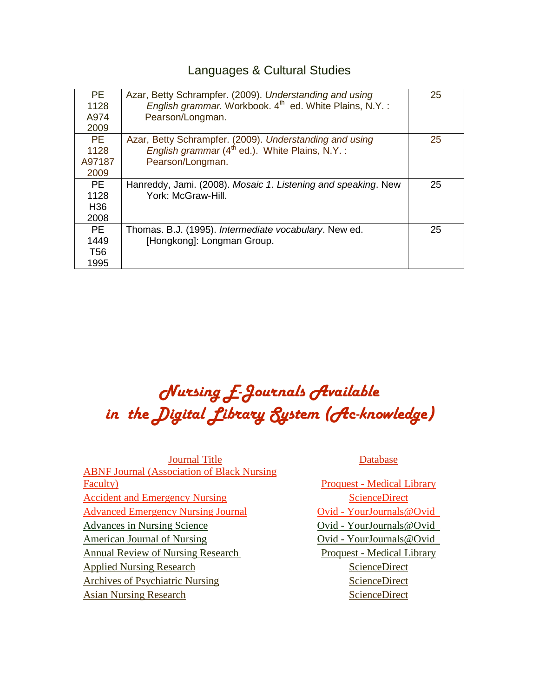### Languages & Cultural Studies

| PE.<br>1128                                  | Azar, Betty Schrampfer. (2009). Understanding and using<br>English grammar. Workbook. 4 <sup>th</sup> ed. White Plains, N.Y.:             | 25 |
|----------------------------------------------|-------------------------------------------------------------------------------------------------------------------------------------------|----|
| A974<br>2009                                 | Pearson/Longman.                                                                                                                          |    |
| <b>PE</b><br>1128<br>A97187<br>2009          | Azar, Betty Schrampfer. (2009). Understanding and using<br>English grammar (4 <sup>th</sup> ed.). White Plains, N.Y.:<br>Pearson/Longman. | 25 |
| <b>PE</b><br>1128<br>H <sub>36</sub><br>2008 | Hanreddy, Jami. (2008). Mosaic 1. Listening and speaking. New<br>York: McGraw-Hill.                                                       | 25 |
| PE.<br>1449<br>T <sub>56</sub><br>1995       | Thomas. B.J. (1995). Intermediate vocabulary. New ed.<br>[Hongkong]: Longman Group.                                                       | 25 |

### Nursing E-Journals Available in the Digital Library System (Ac-knowledge)

*U*Database *U*Database **ABNF Journal (Association of Black Nursing)** [Faculty\)](http://proquest.umi.com/pqdweb?RQT=572&TS=1310886160&clientId=59564&VType=PQD&VName=PQD&VInst=PROD&PMID=38579&PCID=61403331&SrtM=0&SrchMode=3&aid=1) **Proquest - [Medical Library](http://proquest.umi.com/login)** [Accident and Emergency Nursing](http://www.sciencedirect.com/science/journal/09652302)<br>
TU<sub>SC</sub> **TUBE 2018** *TU*[Advanced Emergency Nursing Journal](http://ovidsp.tx.ovid.com/sp-3.4.1b/ovidweb.cgi?&S=NOEHFPAEMJDDNNBNNCBLIDLBMGKOAA00&Browse=Toc+Children%7cNO%7cS.sh.14377_1310900107_37.14377_1310900107_49.14377_1310900107_50%7c7%7c50)*UT TU*Ovid - [YourJournals@Ovid](http://ovidsp.tx.ovid.com/sp-3.4.1b/ovidweb.cgi?QS2=434f4e1a73d37e8c4b1c3c6f62ad74338605c2084009691ed94f4b1019355d9dc8e3acc7086f2686aa624395fecc283e022be86fa5d6235fbddb479f6ae72377172b169ab13b78804157dd426d1b0d802a370296c5d8ee34b394e0ee30d80222cff97697ee5) *UT Tubes* [Advances in Nursing Science](http://ovidsp.tx.ovid.com/sp-3.4.1b/ovidweb.cgi?&S=JMHPFPPDEIDDNNECNCBLAEOBJCPNAA00&Browse=Toc+Children%7cNO%7cS.sh.2644_1310900232_15.2644_1310900232_27.2644_1310900232_28%7c10%7c50) *TU Tubes Dvid - Your Journals* @ Ovid *UTU* [American Journal of Nursing](http://ovidsp.tx.ovid.com/sp-3.4.1b/ovidweb.cgi?&S=JODIFPPDNMDDNNNCNCBLIDMCCEPNAA00&Browse=Toc+Children%7cNO%7cS.sh.20447_1310900348_15.20447_1310900348_27.20447_1310900348_28%7c14%7c50) *Dvid - Your Journals@Ovid* **TUDE [Annual Review of Nursing Research](http://proquest.umi.com/pqdweb?RQT=318&TS=1310887739&clientId=59564&VType=PQD&VName=PQD&VInst=PROD&pmid=68348&PageNum=1)** *Proquest - [Medical Library](http://proquest.umi.com/login)* [Applied Nursing Research](http://www.sciencedirect.com/science/journal/08971897)<br>
TU<sub>SC</sub> *TU*SCIENCE [Archives of Psychiatric Nursing](http://www.sciencedirect.com/science/journal/08839417)<br>
UTUSCIE [Asian Nursing Research](http://www.sciencedirect.com/science/journal/19761317) *TUUS* [ScienceDirect](http://www.sciencedirect.com/science?_ob=HomePageURL&_method=userHomePage&_btn=Y&_zone=TopNavBar&_origin=journal&_acct=C000055038&_version=1&_urlVersion=0&_userid=1843691&md5=82d591cc4977879a7a500b2fe1569240)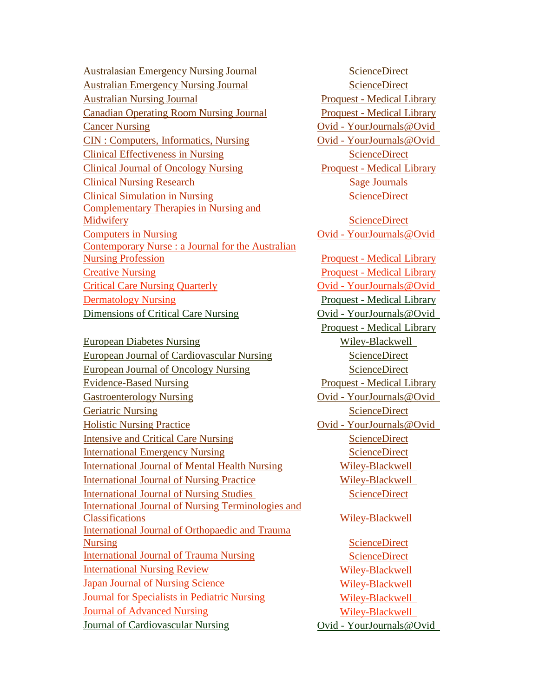[Australasian Emergency Nursing Journal](http://www.sciencedirect.com/science/journal/15746267) *[ScienceDirect](http://www.sciencedirect.com/science?_ob=HomePageURL&_method=userHomePage&_btn=Y&_zone=TopNavBar&_origin=journal&_acct=C000055038&_version=1&_urlVersion=0&_userid=1843691&md5=82d591cc4977879a7a500b2fe1569240)* [Australian Emergency Nursing Journal](http://www.sciencedirect.com/science/journal/13282743) *[ScienceDirect](http://www.sciencedirect.com/science?_ob=HomePageURL&_method=userHomePage&_btn=Y&_zone=TopNavBar&_origin=journal&_acct=C000055038&_version=1&_urlVersion=0&_userid=1843691&md5=82d591cc4977879a7a500b2fe1569240) Tue [Australian Nursing Journal](http://proquest.umi.com/pqdweb?RQT=318&TS=1310887595&clientId=59564&VType=PQD&VName=PQD&VInst=PROD&pmid=36024&PageNum=1) TU TU TU TU Proquest - [Medical Library](http://proquest.umi.com/login)* **TULCAL COMPONE COMPONE CONSUMING THE CONSUMING TENS TULCAL CONSUMING TENS TULCAL LIBRARY TULCANCER CANCER IN THE CONSERVANCE IN THE CONSERVANCE IN THE CONSERVANCE IN THE CONSERVANCE IN THE CONSERVANCE IN THE CONSERVANCE IN THE CONSERVANCE IN THE CONSERVANCE IN THE CONSERVANCE IN THE CONSERVANCE IN THE CONSERV** *TU*[CIN : Computers, Informatics, Nursing](http://ovidsp.tx.ovid.com/sp-3.4.1b/ovidweb.cgi?&S=JODIFPPDNMDDNNNCNCBLIDMCCEPNAA00&Browse=Toc+Children%7cNO%7cS.sh.20447_1310900348_51.20447_1310900348_63.20447_1310900348_64%7c57%7c50) *Dvid - YourJournals@Ovid TU*[Clinical Effectiveness in Nursing](http://www.sciencedirect.com/science/journal/13619004)<br> [ScienceDirect](http://www.sciencedirect.com/science?_ob=HomePageURL&_method=userHomePage&_btn=Y&_zone=TopNavBar&_origin=journal&_acct=C000055038&_version=1&_urlVersion=0&_userid=1843691&md5=82d591cc4977879a7a500b2fe1569240) *Turnical Journal of Oncology Nursing Proquest - [Medical Library](http://proquest.umi.com/login) TU*[Clinical Nursing Research](http://cnr.sagepub.com/content/by/year) *TU*[Sage Journals](http://online.sagepub.com/) *TU*[Clinical Simulation in Nursing](http://www.sciencedirect.com/science?_ob=PublicationURL&_cdi=56451&_pubType=J&_acct=C000055038&_version=1&_urlVersion=0&_userid=1843691&md5=213454599ef62cd6919fe9bb07314ffd&jchunk=2#2)<br>
TUCLIC *TU*SCIENCE **Complementary Therapies in Nursing and** [Midwifery](http://www.sciencedirect.com/science?_ob=PublicationURL&_ctockey=%23toc%236747%232004%23999899995%23525963%23FLA%23&_cdi=6747&_pubType=J&_acct=C000055038&_version=1&_urlVersion=0&_userid=1843691&md5=240fb0add3af75b7c17e15b48980f5ef&jchunk=xxx) **[ScienceDirect](http://www.sciencedirect.com/science?_ob=HomePageURL&_method=userHomePage&_btn=Y&_zone=TopNavBar&_origin=journal&_acct=C000055038&_version=1&_urlVersion=0&_userid=1843691&md5=82d591cc4977879a7a500b2fe1569240) TUCOMPUTER** In Nursing **TUCOVID 1** Ovid - YourJournals@Ovid Contemporary Nurse : a Journal for the Australian **[Nursing Profession](http://proquest.umi.com/pqdweb?RQT=318&TS=1310887807&clientId=59564&VType=PQD&VName=PQD&VInst=PROD&pmid=77925&PageNum=1) Product - [Medical Library](http://proquest.umi.com/login)** *TU*[Creative Nursing](http://proquest.umi.com/pqdweb?RQT=318&TS=1310887866&clientId=59564&VType=PQD&VName=PQD&VInst=PROD&pmid=82696&PageNum=1)*UT TU*Proquest - [Medical Library](http://proquest.umi.com/login)*UT Tube [Critical Care Nursing Quarterly](http://ovidsp.tx.ovid.com/sp-3.4.1b/ovidweb.cgi?&S=JODIFPPDNMDDNNNCNCBLIDMCCEPNAA00&Browse=Toc+Children%7cNO%7cS.sh.20447_1310900348_51.20447_1310900348_63.20447_1310900348_64%7c84%7c50) Tube 2001 Tube Critical Care Nursing Quarterly <u>Proquest - [Medical Library](http://proquest.umi.com/login)</u> Tub TU*[Dimensions of Critical Care Nursing](http://ovidsp.tx.ovid.com/sp-3.4.1b/ovidweb.cgi?&S=JODIFPPDNMDDNNNCNCBLIDMCCEPNAA00&Browse=Toc+Children%7cNO%7cS.sh.20447_1310900348_51.20447_1310900348_63.20447_1310900348_64%7c117%7c50) *Dimensions*  $Ovid - YourJournals@Ovid$ 

*TU*[European Diabetes Nursing](http://onlinelibrary.wiley.com/journal/10.1002/(ISSN)1551-7861/issues)*UT TU*[Wiley-Blackwell](http://onlinelibrary.wiley.com/) *UT*  $T$ [European Journal of Cardiovascular Nursing](http://www.sciencedirect.com/science?_ob=PublicationURL&_ctockey=%23TOC%237252%232002%23999989998%23300791%23FLA%23&_cdi=7252&_pubType=J&_auth=y&_acct=C000055038&_version=1&_urlVersion=0&_userid=1843691&md5=b475bf75814111f0dd191fb7166757b5&jchunk=xxx)<br>
Turns in the [ScienceDirect](http://www.sciencedirect.com/science?_ob=HomePageURL&_method=userHomePage&_btn=Y&_zone=TopNavBar&_origin=journal&_acct=C000055038&_version=1&_urlVersion=0&_userid=1843691&md5=82d591cc4977879a7a500b2fe1569240)  $T$ [European Journal of Oncology Nursing](http://www.sciencedirect.com/science?_ob=PublicationURL&_cdi=6781&_pubType=J&_auth=y&_acct=C000055038&_version=1&_urlVersion=0&_userid=1843691&md5=58cecf4fd4a77ec6f60d62567c76caed&jchunk=15#15)<br>
TUBE **TUBE** *TUBE Tuerism Tuerisms Proquest - [Medical Library](http://proquest.umi.com/login) Proquest - Medical Library* **TUBE GAST TUBE OVID TUBE OVID TUBE OVID TUBE OVID TUBE OVID TUBE OVID TUBE OVID TUBE OVID TUBE OVID TUBE OVID TUBE OVID TUBE OVID TUBE OVID TUBE OVID TUBE OVID TUBE OVID TUBE OVID TUBE** *Turnstational [ScienceDirect](http://www.sciencedirect.com/science?_ob=HomePageURL&_method=userHomePage&_btn=Y&_zone=TopNavBar&_origin=journal&_acct=C000055038&_version=1&_urlVersion=0&_userid=1843691&md5=82d591cc4977879a7a500b2fe1569240) Turnstational ScienceDirect TUBUSHIE Nursing Practice TUBUSHIE Dvid - YourJournals@Ovid Dvid - YourJournals@Ovid Tu*[Intensive and Critical Care Nursing](http://www.sciencedirect.com/science?_ob=PublicationURL&_ctockey=%23toc%236827%232011%23999729995%233386748%23FLA%23&_cdi=6827&_pubType=J&_auth=y&_acct=C000055038&_version=1&_urlVersion=0&_userid=1843691&md5=cba781f650f5b93a95e1389034a8ea42&jchunk=xxx)<br> [ScienceDirect](http://www.sciencedirect.com/science?_ob=HomePageURL&_method=userHomePage&_btn=Y&_zone=TopNavBar&_origin=journal&_acct=C000055038&_version=1&_urlVersion=0&_userid=1843691&md5=82d591cc4977879a7a500b2fe1569240) *Tulerinational Emergency Nursing* [ScienceDirect](http://www.sciencedirect.com/science?_ob=HomePageURL&_method=userHomePage&_btn=Y&_zone=TopNavBar&_origin=journal&_acct=C000055038&_version=1&_urlVersion=0&_userid=1843691&md5=82d591cc4977879a7a500b2fe1569240) *Tu*[International Journal of Mental Health Nursing](http://onlinelibrary.wiley.com/journal/10.1111/(ISSN)1447-0349/issues) Wiley-Blackwell *Tulerial Journal of Nursing Practice* Wiley-Blackwell *Tulerianal Journal of Nursing Studies [ScienceDirect](http://www.sciencedirect.com/science?_ob=HomePageURL&_method=userHomePage&_btn=Y&_zone=TopNavBar&_origin=journal&_acct=C000055038&_version=1&_urlVersion=0&_userid=1843691&md5=82d591cc4977879a7a500b2fe1569240)* International Journal of Nursing Terminologies and Classifications*<sup>U</sup> TU*[Wiley-Blackwell](http://onlinelibrary.wiley.com/) *UT* **International Journal of Orthopaedic and Trauma** [Nursing](http://www.sciencedirect.com/science?_ob=PublicationURL&_ctockey=%23toc%2359124%232011%23999849997%233041794%23FLA%23&_cdi=59124&_pubType=J&_acct=C000055038&_version=1&_urlVersion=0&_userid=1843691&md5=6a661dfe8902e1a2e10913c93370410d&jchunk=xxx)<br>
UTCOUTTER **TU**SCIENCE *Tulerinational Journal of Trauma Nursing* [ScienceDirect](http://www.sciencedirect.com/science?_ob=HomePageURL&_method=userHomePage&_btn=Y&_zone=TopNavBar&_origin=journal&_acct=C000055038&_version=1&_urlVersion=0&_userid=1843691&md5=82d591cc4977879a7a500b2fe1569240) *Tulerial Nursing Review Wiley-Blackwell Tuban Journal of Nursing Science* [Wiley-Blackwell](http://onlinelibrary.wiley.com/) *Wiley-Blackwell Turnal for Specialists in Pediatric Nursing Wiley-Blackwell Turnal of Advanced Nursing VIIey-Blackwell Tuburnal* of Cardiovascular Nursing *Duid - YourJournals@Ovid* 

**Proquest - [Medical Library](http://proquest.umi.com/login)**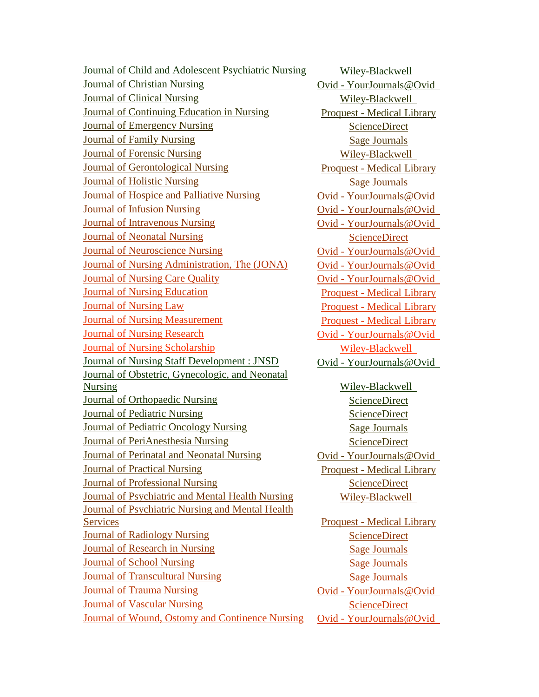*[Journal of Child and Adolescent Psychiatric Nursing](http://onlinelibrary.wiley.com/journal/10.1111/(ISSN)1744-6171/issues) Wiley-Blackwell Turnal of Christian Nursing*  $Ovid - YourJournals@Ovid$ *Tuley-Blackwell Wiley-Blackwell Turnal of Continuing Education in Nursing Proquest - [Medical Library](http://proquest.umi.com/login) TU*[Journal of Emergency Nursing](http://www.sciencedirect.com/science?_ob=PublicationURL&_cdi=6869&_pubType=J&_acct=C000055038&_version=1&_urlVersion=0&_userid=1843691&md5=0b6efce78555cc928b44b55c6b735d72&jchunk=37#37)*UT TU*[ScienceDirect](http://www.sciencedirect.com/science?_ob=HomePageURL&_method=userHomePage&_btn=Y&_zone=TopNavBar&_origin=journal&_acct=C000055038&_version=1&_urlVersion=0&_userid=1843691&md5=82d591cc4977879a7a500b2fe1569240)*UT Turnal of Family Nursing [Sage Journals](http://online.sagepub.com/) Turnal of Forensic Nursing Wiley-Blackwell Turnal of Gerontological Nursing Proquest - [Medical Library](http://proquest.umi.com/login) Turnal of Holistic Nursing Turnal [Sage Journals](http://online.sagepub.com/) Turnal of Hospice and Palliative Nursing Dvid - YourJournals@Ovid Turnal of Infusion Nursing*  $Ovid - Young *T*$ *Turnal of Intravenous Nursing*  $Ovid - Young *T*$ *Turnal of Neonatal Nursing* [ScienceDirect](http://www.sciencedirect.com/science?_ob=HomePageURL&_method=userHomePage&_btn=Y&_zone=TopNavBar&_origin=journal&_acct=C000055038&_version=1&_urlVersion=0&_userid=1843691&md5=82d591cc4977879a7a500b2fe1569240) *Turnal of Neuroscience Nursing Dvid - YourJournals@Ovid Qvid - YourJournals@Ovid Turnal of Nursing Administration, The (JONA)* Ovid - YourJournals@Ovid *Turnal of Nursing Care Quality Dvid - YourJournals@Ovid Turnal of Nursing Education*<br> *Proquest - [Medical Library](http://proquest.umi.com/login) Turnal of Nursing Law Proquest - [Medical Library](http://proquest.umi.com/login) Turnal of Nursing Measurement Proquest - [Medical Library](http://proquest.umi.com/login) Turnal of Nursing Research Vid - YourJournals@Ovid Tub Turnal of Nursing Scholarship*<br> *Turnal of Nursing Scholarship Turnal of Nursing Staff Development : JNSD Dvid - YourJournals@Ovid* Journal of Obstetric, Gynecologic, and Neonatal **[Nursing](http://onlinelibrary.wiley.com/journal/10.1111/(ISSN)1552-6909/issues)** *Wiley-Blackwell Turnal of Orthopaedic Nursing* [ScienceDirect](http://www.sciencedirect.com/science?_ob=HomePageURL&_method=userHomePage&_btn=Y&_zone=TopNavBar&_origin=journal&_acct=C000055038&_version=1&_urlVersion=0&_userid=1843691&md5=82d591cc4977879a7a500b2fe1569240) *TU*[Journal of Pediatric Nursing](http://www.sciencedirect.com/science?_ob=PublicationURL&_cdi=6910&_pubType=J&_auth=y&_acct=C000055038&_version=1&_urlVersion=0&_userid=1843691&md5=4895972ee2987e2aa9a4468573305999&jchunk=26#26)*UT TU*[ScienceDirect](http://www.sciencedirect.com/science?_ob=HomePageURL&_method=userHomePage&_btn=Y&_zone=TopNavBar&_origin=journal&_acct=C000055038&_version=1&_urlVersion=0&_userid=1843691&md5=82d591cc4977879a7a500b2fe1569240)*UT Turnal of Pediatric Oncology Nursing* [Sage Journals](http://online.sagepub.com/) *Tulumal of PeriAnesthesia Nursing* [ScienceDirect](http://www.sciencedirect.com/science?_ob=HomePageURL&_method=userHomePage&_btn=Y&_zone=TopNavBar&_origin=journal&_acct=C000055038&_version=1&_urlVersion=0&_userid=1843691&md5=82d591cc4977879a7a500b2fe1569240) *Turnal of Perinatal and Neonatal Nursing Dvid - YourJournals@Ovid Turnal of Practical Nursing Proquest - [Medical Library](http://proquest.umi.com/login) Turnal of Professional Nursing* [ScienceDirect](http://www.sciencedirect.com/science?_ob=HomePageURL&_method=userHomePage&_btn=Y&_zone=TopNavBar&_origin=journal&_acct=C000055038&_version=1&_urlVersion=0&_userid=1843691&md5=82d591cc4977879a7a500b2fe1569240) *Tournal of Psychiatric and Mental Health Nursing Wiley-Blackwell* Journal of Psychiatric Nursing and Mental Health **TUP:** The [Services](http://proquest.umi.com/pqdweb?RQT=318&TS=1310902459&clientId=59564&VType=PQD&VName=PQD&VInst=PROD&pmid=36635&PageNum=1) Proquest - [Medical Library](http://proquest.umi.com/login) *Turnal of Radiology Nursing* [ScienceDirect](http://www.sciencedirect.com/science?_ob=HomePageURL&_method=userHomePage&_btn=Y&_zone=TopNavBar&_origin=journal&_acct=C000055038&_version=1&_urlVersion=0&_userid=1843691&md5=82d591cc4977879a7a500b2fe1569240) *Turnal of Research in Nursing [Sage Journals](http://online.sagepub.com/) Turnal of School Nursing [Sage Journals](http://online.sagepub.com/) Turnal of Transcultural Nursing* [Sage Journals](http://online.sagepub.com/) *Turnal of Trauma Nursing*  $U$  *Turnals*  $Q$  *Dvid - YourJournals*  $Q$  *Qvid - YourJournals Turnal of Vascular Nursing [ScienceDirect](http://www.sciencedirect.com/science?_ob=HomePageURL&_method=userHomePage&_btn=Y&_zone=TopNavBar&_origin=journal&_acct=C000055038&_version=1&_urlVersion=0&_userid=1843691&md5=82d591cc4977879a7a500b2fe1569240)* **ScienceDirect ScienceDirect ScienceDirect ScienceDirect ScienceDirect ScienceDirect ScienceDirect ScienceDirect ScienceDirect ScienceDirect Scien** *Turnal of Wound, [Ostomy and Continence Nursing](http://ovidsp.tx.ovid.com/sp-3.4.1b/ovidweb.cgi?&S=JODIFPPDNMDDNNNCNCBLIDMCCEPNAA00&Browse=Toc+Children%7cNO%7cS.sh.20447_1310900348_340.20447_1310900348_352.20447_1310900348_353%7c242%7c50) Qvid - YourJournals@Ovid*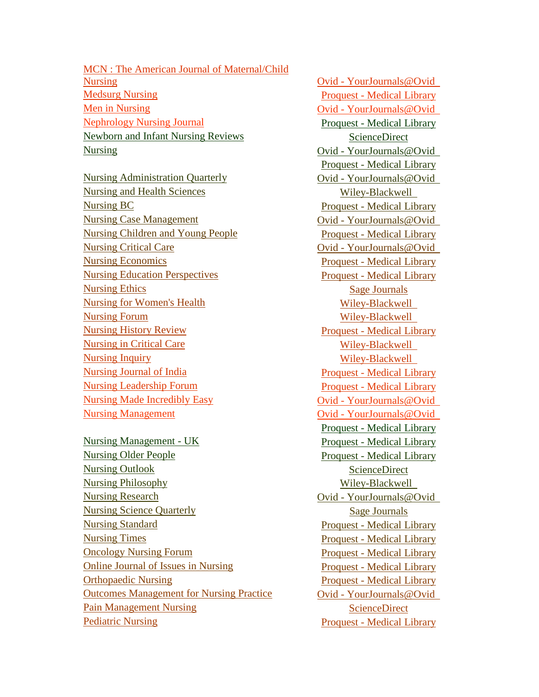**MCN** : The American Journal of Maternal/Child [Nursing](http://ovidsp.tx.ovid.com/sp-3.4.1b/ovidweb.cgi?QS2=434f4e1a73d37e8c55ee654abafc9a9337cee7e0ae078aeb16e42f876e48e8e1862085a26354f167a0c0d0e59ea69acacef93ed6e78481ad7086f0e027a8c24d1ac5ee6033ebc78d1fc426530be23836b61ba9e6a0ae19c2d86a50237acbdaf025663eacf36)<br>
UTCOVID - [YourJournals@Ovid](http://ovidsp.tx.ovid.com/sp-3.4.1b/ovidweb.cgi?QS2=434f4e1a73d37e8c4b1c3c6f62ad74338605c2084009691ed94f4b1019355d9dc8e3acc7086f2686aa624395fecc283e022be86fa5d6235fbddb479f6ae72377172b169ab13b78804157dd426d1b0d802a370296c5d8ee34b394e0ee30d80222cff97697ee5) **During TUP** *TU*<sub>D</sub> *[Medsurg Nursing](http://proquest.umi.com/pqdweb?RQT=572&TS=1310804193&clientId=59564&VType=PQD&VName=PQD&VInst=PROD&PMID=37440&PCID=62035621&SrtM=0&SrchMode=3&aid=1) TU*<sub>D</sub> *TU*<sub>D</sub> *TU*<sub>D</sub> *TU*<sub>D</sub> *TU*<sub>D</sub> *TU*<sub>D</sub> *TU*<sub>D</sub> *TU*<sub>D</sub> *TU*<sub>D</sub> *TU*<sub>D</sub> *TU*<sub>D</sub> *TU*<sub>D</sub> *TU*<sub>D</sub> *TU*<sub>D</sub> *TU*<sub>D</sub> *TU*<sub>D</sub> *TU*<sub>D</sub> *TU*<sub>D</sub> *TU*<sub>D</sub> *TU*<sub>D</sub> *TU*<sub>D</sub> *TU*<sub>D</sub> *TU*<sub>D</sub> *TU*<sub>D</sub> *TU*[Men in Nursing](http://ovidsp.tx.ovid.com/sp-3.4.1b/ovidweb.cgi?&S=JODIFPPDNMDDNNNCNCBLIDMCCEPNAA00&Browse=Toc+Children%7cNO%7cS.sh.20447_1310900348_361.20447_1310900348_373.20447_1310900348_374%7c257%7c50)<br> *TU TU TUU TUU TUU TUU DVI UT UT UT UT UT DVI DVI DVI DVI DVI DVI DVI DVI DVI DVI DVI DVI DVI DVI DVI DVI DVI DVI DVI DVI DVI DVI DVI Tuerism* Nursing Journal *TUP TUP TUP TUP TUP TUP TUP TUP TUP TUP TUP TUP TUP TUP TUP TUP TUP TUP TUP TUP TUP TUP TUP TUP TUP TUP TUP TUP TUP TUP TUP TUP TUP TU*NEW **TUP** *TUP TUP TUP TUP TUP TUP TUP TUP TUP TUP TUP TUP TUP TUP TUP TUP TUP TUP TUP TUP TUP TUP TUP TUP TUP TUP TUP TUP TUP TUP TUP TUP TUP TUP TUP Turnals Durier <b>V Turnals Quid - YourJournals* **@Ovid** 

*Tursing Administration Quarterly Dvid - YourJournals@Ovid Tursing and Health Sciences TUP TUP TUP TUP TUP TUP TUP TUP TUP TUP TUP TUP TUP TUP TUP TUP TUP TUP TUP TUP TUP TUP TUP TUP TUP TUP TUP TUP TUP TUP TUP TUP* **TULES TULES TULES TULES TULES TULES TULES TULES TULES TULES TULES TULES TULES TULES TULES TULES TULES TULES TULES TULES TULES TULES TULES TULES TULES TULES TULES TULES** *Tursing Case Management Dvid - Your Journals* @Ovid *Quid - Your Journals* @Ovid *Quid 2000 TUURE [Nursing Children and Young People](http://www.ac-knowledge.net/ngha/FindeJournal/tabid/186/Default.aspx) Tuursing Children and Young People Turnals Critical Care Turnals @Ovid - Your Journals @Ovid - Your Journals @Ovid - Your Journals @Ovid - Your Journals @Ovid - Your Journals @Ovid - Your Journals @Ovid - Your Journals @Ovid - Your Journals @Ovid - Your* **TULES TULES TULES TULES TULES TULES TULES TULES TULES TULES TULES TULES TULES TULES TULES TULES TULES TULES TULES TULES TULES TULES TULES TULES TULES TULES TULES TULES TURNEY IS A TURNEY TO PERFECT A TURNEY PROQUEST - [Medical Library](http://proquest.umi.com/login) Proquest** - Medical Library **TUUS TUUS TUUS TUUS TUUS TUUS TUUS TUUS TUUS TUUS TUUS TUUS TUUS TUUS TUUS TUUS TUUS TUUS TUUS TUUS TUUS TUUS TUUS TUUS TUUS TUUS TUUS TUUS TUUS TUUS TUUS TUUS** *TU*[Nursing for Women's Health](http://onlinelibrary.wiley.com/journal/10.1111/(ISSN)1751-486X/issues)*UT TU*[Wiley-Blackwell](http://onlinelibrary.wiley.com/) *UT* **TULES TULES TULES TULES TULES TULES TULES TULES TULES TULES TULES TULES TULES TULES TULES TULES TULES TULES TULES TULES TULES TULES TULES TULES TULES TULES TULES TULES TULES TULES TULES TULES TULES TULES TULES TULES TULES TULES TULES TULES TULES TULES TULES TULES TULES TULES TULES TULES TULES TULES TULES TULES TULES TULES TULES TULES TURES TURES TURES TURES TURES TURES TURES TURES TURES TURES TURES TURES TURES TURES TURES TURES TURES TURES TURES TURES TURES TURES TURES TURES TURES TURES TURES TURES** *Turnsing Inquiry TUURIEY-Blackwell Wiley-Blackwell* **TULE 12 ISSUED 12 ISSUED 2018 ISSUED 2018 ISSUED 2018 ISSUED 2019 ISSUED 2019 ISSUED 2019 ISSUED 2019 ISSUED 2019 ISSUED 2019 ISSUED 2019 ISSUED 2019 ISSUED 2019 ISSUED 2019 ISSUED 2019 ISSUED 2019 ISSUED 2019 ISSUED 2019 TULE 12 IV TULE 12 IV TULE 2018 TULE 2019 TULE 2019 TULE 2019 TULE 2019 TULE 2019 TULE 2019 TULE 2019 TULE 2019 TULE 2019 TULE 2019 TULE 2019 TULE 2019 TULE 2019 TULE 2019 TULE 2019 TUL** *Tursing Made Incredibly Easy Dvid - Your Journals @Ovid - Your Journals @Ovid - Your Journals @Ovid Turnals TUURUMANURDER* **TURNAL** 

*Tursing Management - UK Proquest - [Medical Library](http://proquest.umi.com/login)* **TULES TULES TULES TULES TULES TULES TULES TULES TULES TULES TULES TULES TULES TULES TULES TULES TULES TULES TULES TULES TULES TULES TULES TULES TULES TULES TULES TULES** *Turnsing Outlook* [ScienceDirect](http://www.sciencedirect.com/science?_ob=HomePageURL&_method=userHomePage&_btn=Y&_zone=TopNavBar&_origin=journal&_acct=C000055038&_version=1&_urlVersion=0&_userid=1843691&md5=82d591cc4977879a7a500b2fe1569240) *Tursing Philosophy Wiley-Blackwell Tursing Research Dvid - Your Journals* @Ovid *Tursing Research [Nursing Science Quarterly](http://nsq.sagepub.com/content/by/year)* **TULES TULES TULES TULES TULES TULES TULES TULES TULES TULES TULES TULES TULES TULES TULES TULES TULES TULES TULES TULES TULES TULES TULES TULES TULES TULES TULES TULES TUP TUP TUP TUP TUP TUP TUP TUP TUP TUP TUP TUP TUP TUP TUP TUP TUP TUP TUP TUP TUP TUP TUP TUP TUP TUP TUP TUP TUP TUP TUP TUP TUP TUP TUP TUP TUP TUDES TUDES TUDES TUDES TUDES TUDES TUDES TUDES TUDES TUDES TUDES TUDES TUDES TUDES TUDES TUDES TUDES TUDES TUDES TUDES TUDES TUDES TUDES TUDES TUDES TUDES TUDES TUDES** *Tu <u>Tube</u> Tuber Issues in Nursing*<sub>*Proquest - [Medical Library](http://proquest.umi.com/login)</sub></sub>* **TUP** *TU*<sub>D</sub> *TU*<sub>D</sub> *TU*<sub>D</sub> *TU*<sub>D</sub> *TU*<sub>D</sub> *TU*<sub>D</sub> *TU*<sub>D</sub> *TU*<sub>D</sub> *TU*<sub>D</sub> *TU*<sub>D</sub> *TU*<sub>D</sub> *TU*<sub>D</sub> *I*<sub>D</sub> *I*<sub>D</sub> *I*<sub>D</sub> *I*<sub>D</sub> *I*<sub>D</sub> *I*<sub>D</sub> *I*<sub>D</sub> *I*<sub>D</sub> *I*<sub>D</sub> *I*<sub>D</sub> *I*<sub>D</sub> *I*<sub>D</sub> *I*<sub>D</sub> *I*<sub>D</sub> *I*<sub>D</sub> *I*<sub>D</sub> *I*<sub>D</sub> **TUBOUES** Management for Nursing Practice *Dvid - YourJournals@Ovid* **Tuber 10.1 TUDE 10.1 TUDE 10.1 TUDE 10.1 TUDE 10.1 TUDE 10.1 TUDE 10.1 TUDE 10.1 TUDE 10.1 TUDE 10.1 TUDE 10.1 TUDE 10.1 TUDE 10.1 TUDE 10.1 TUDE 10.1 TUDE 10.1 TUDE 10.1 TUDE 10.1 TUDE [Pediatric Nursing](http://www.ac-knowledge.net/ngha/FindeJournal/tabid/186/Default.aspx)** 

**Proquest - [Medical Library](http://proquest.umi.com/login) Proquest - [Medical Library](http://proquest.umi.com/login) [Sage Journals](http://online.sagepub.com/) Proquest - Medical Library**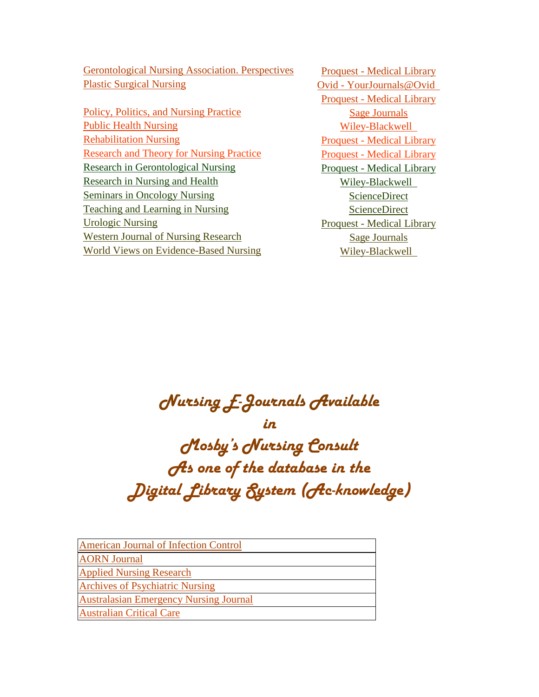**TUDE GERONTO INCOCO** *TUDE* **TUDE** *TUDE TUDE TUDE TUDE TUDE TUDE TUDE TUDE TUDE TUDE TUDE TUDE TUDE TUDE TUDE TUDE TUDE TUDE TUDE TUDE TUDE TUDE TUDE TUDE TUDE TUDE TUD Tubes Tubes Tubes Tubes Tubes Tubes Tubes Dvid* - Your *Journals* @ Ovid *Quid 1* 

*Tubes, Politics, and Nursing Practice* [Sage Journals](http://online.sagepub.com/) **TUBLIC HEALTH INVESTIGATION TUBE IN THE VILLEY-Blackwell Wiley-Blackwell TUP PERFORM PERFORMAN PROPERTY PERFORMAN PROPERTY PERFORMAN PROPERTY PERFORMAN PROPERTY TURES [Research and Theory for Nursing Practice](http://www.ac-knowledge.net/ngha/FindeJournal/tabid/186/Default.aspx)**<br> **TuRES Proquest - [Medical Library](http://proquest.umi.com/login) TURES [Research in Gerontological Nursing](http://www.ac-knowledge.net/ngha/FindeJournal/tabid/186/Default.aspx) TURES Proquest** - [Medical Library](http://proquest.umi.com/login) **TURES TURES TURES TURES TURES TURES TURES TURES TURES TURES TURES TURES TURES TURES TURES TURES TURES TURES TURES TURES TURES TURES TURES TURES TURES TURES TURES TURES TUBE 1** [ScienceDirect](http://www.sciencedirect.com/science?_ob=HomePageURL&_method=userHomePage&_btn=Y&_zone=TopNavBar&_origin=journal&_acct=C000055038&_version=1&_urlVersion=0&_userid=1843691&md5=82d591cc4977879a7a500b2fe1569240) ScienceDirect *TU*SCIENCE **TUBE 1** ScienceDirect **[Teaching and Learning in Nursing](http://www.sciencedirect.com/science/journal/15573087)** [ScienceDirect](http://www.sciencedirect.com/science?_ob=HomePageURL&_method=userHomePage&_btn=Y&_zone=TopNavBar&_origin=journal&_acct=C000055038&_version=1&_urlVersion=0&_userid=1843691&md5=82d591cc4977879a7a500b2fe1569240) *Turologic Nursing Proquest - [Medical Library](http://proquest.umi.com/login)* **TUP** *TUP TUP TUP TUP TUP TUP TUP TUP TUP TUP TUP TUP TUP TUP TUP TUP TUP TUP TUP TUP TUP TUP TUP TUP TUP TUP TUP TUP TUP TUP TUP TUP TUP TUP TUP TUP TU TUP TUP TUP TUP TUP TUP TUP TUP TUP TUP TUP TUP TUP TUP TUP TUP DUP DUPP DUPP DUPP DUPP DUPP DUPP DUPP DUPP DUPP DUPP DUPP DUPP DUPP DUPP DUPP DUPP DU* 

**Proquest - [Medical Library](http://proquest.umi.com/login)** 

## Nursing E-Journals Available

in

Mosby's Nursing Consult As one of the database in the Digital Library System (Ac-knowledge)

| <b>American Journal of Infection Control</b>  |
|-----------------------------------------------|
| <b>AORN</b> Journal                           |
| <b>Applied Nursing Research</b>               |
| <b>Archives of Psychiatric Nursing</b>        |
| <b>Australasian Emergency Nursing Journal</b> |
| <b>Australian Critical Care</b>               |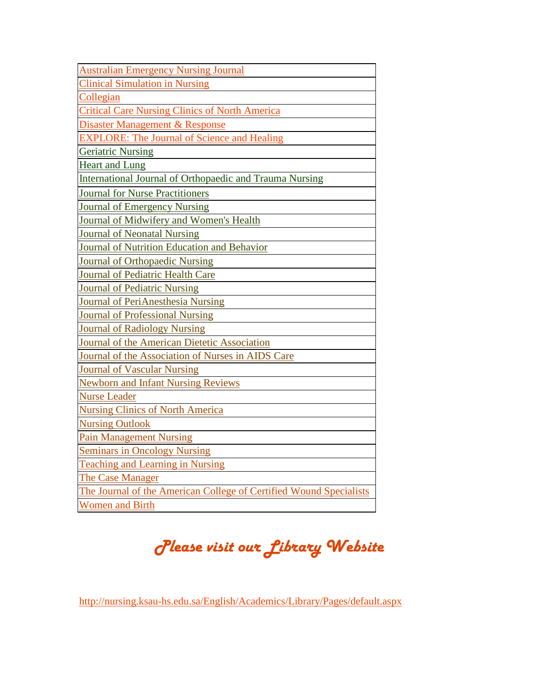| <b>Australian Emergency Nursing Journal</b>                        |
|--------------------------------------------------------------------|
| <b>Clinical Simulation in Nursing</b>                              |
| Collegian                                                          |
| <b>Critical Care Nursing Clinics of North America</b>              |
| Disaster Management & Response                                     |
| <b>EXPLORE: The Journal of Science and Healing</b>                 |
| <b>Geriatric Nursing</b>                                           |
| <b>Heart and Lung</b>                                              |
| <b>International Journal of Orthopaedic and Trauma Nursing</b>     |
| <b>Journal for Nurse Practitioners</b>                             |
| <b>Journal of Emergency Nursing</b>                                |
| Journal of Midwifery and Women's Health                            |
| Journal of Neonatal Nursing                                        |
| Journal of Nutrition Education and Behavior                        |
| Journal of Orthopaedic Nursing                                     |
| Journal of Pediatric Health Care                                   |
| <b>Journal of Pediatric Nursing</b>                                |
| Journal of PeriAnesthesia Nursing                                  |
| <b>Journal of Professional Nursing</b>                             |
| Journal of Radiology Nursing                                       |
| Journal of the American Dietetic Association                       |
| Journal of the Association of Nurses in AIDS Care                  |
| <b>Journal of Vascular Nursing</b>                                 |
| <b>Newborn and Infant Nursing Reviews</b>                          |
| <b>Nurse Leader</b>                                                |
| <b>Nursing Clinics of North America</b>                            |
| <b>Nursing Outlook</b>                                             |
| <b>Pain Management Nursing</b>                                     |
| <b>Seminars in Oncology Nursing</b>                                |
| <b>Teaching and Learning in Nursing</b>                            |
| The Case Manager                                                   |
| The Journal of the American College of Certified Wound Specialists |
| <b>Women and Birth</b>                                             |

# Please visit our Library Website

*TU*<http://nursing.ksau-hs.edu.sa/English/Academics/Library/Pages/default.aspx>*UT*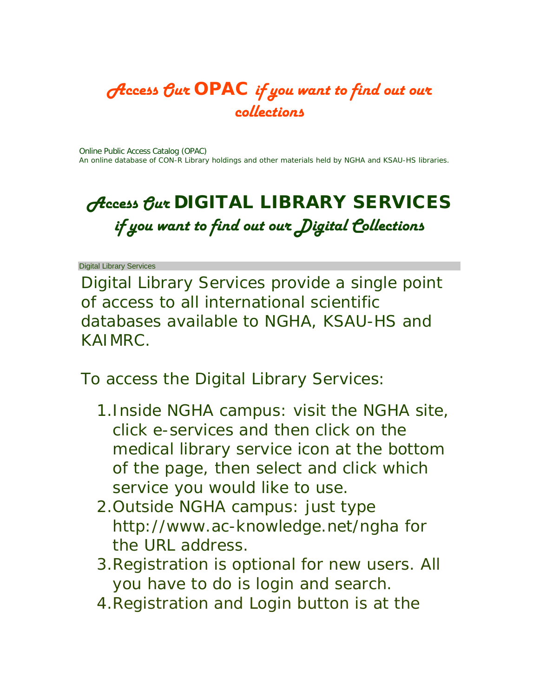### Access Our OPAC if you want to find out our collections

[Online Public Access Catalog \(OPAC\)](http://10.0.4.170/uhtbin/cgisirsi.exe/123pRhGrUE/KFHSL/128650005/60/502/X)  An online database of CON-R Library holdings and other materials held by NGHA and KSAU-HS libraries.

## *Access Our DIGITAL LIBRARY SERVICES* if you want to find out our Digital Collections

Digital Library Services

Digital Library Services provide a single point of access to all international scientific databases available to [NGHA,](http://www.ngha.med.sa/English/Pages/Default.aspx) [KSAU-HS](http://www.ksau-hs.edu.sa/) and [KAIMRC.](http://www.kaimrc.med.sa/)

To access the Digital Library Services:

- 1[.Inside NGHA campus:](http://kamc-r.ngha.med/) visit the NGHA site, click e-services and then click on the medical library service icon at the bottom of the page, then select and click which service you would like to use.
- 2[.Outside NGHA campus:](http://www.ac-knowledge.net/ngha) just type <http://www.ac-knowledge.net/ngha> for the URL address.
- 3.Registration is optional for new users. All you have to do is login and search.
- 4.Registration and Login button is at the